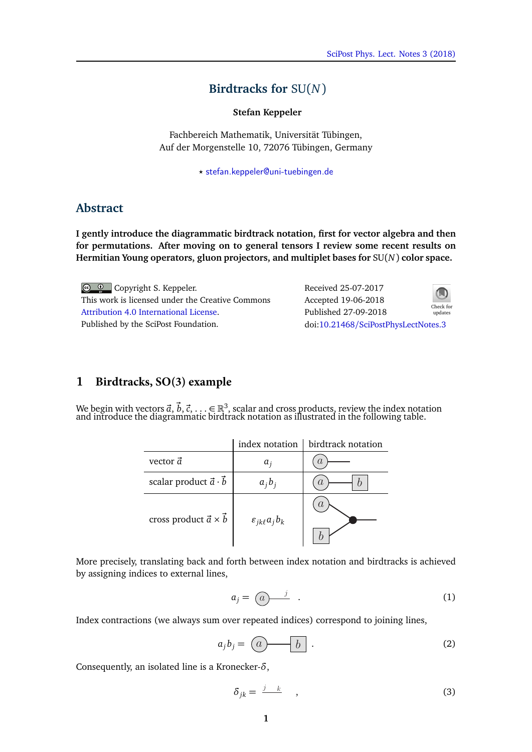## **Birdtracks for** SU(*N*)

**Stefan Keppeler**

Fachbereich Mathematik, Universität Tübingen, Auf der Morgenstelle 10, 72076 Tübingen, Germany

*?* [stefan.keppeler@uni-tuebingen.de](mailto:stefan.keppeler@uni-tuebingen.de)

## **Abstract**

**I gently introduce the diagrammatic birdtrack notation, first for vector algebra and then for permutations. After moving on to general tensors I review some recent results on Hermitian Young operators, gluon projectors, and multiplet bases for** SU(*N*) **color space.**

Copyright S. Keppeler. This work is licensed under the Creative Commons [Attribution 4.0 International License.](http://creativecommons.org/licenses/by/4.0/) Published by the SciPost Foundation.

**1 Birdtracks, SO(3) example**

Received 25-07-2017 Accepted 19-06-2018 Published 27-09-2018 Check for updates doi:10.21468/[SciPostPhysLectNotes.3](http://dx.doi.org/10.21468/SciPostPhysLectNotes.3)



We begin with vectors  $\vec{a}$ ,  $\vec{b}$ ,  $\vec{c}$ , . . .  $\in$   $\mathbb{R}^3$ , scalar and cross products, review the index notation and introduce the diagrammatic birdtrack notation as illustrated in the following table.

|                                        |                              | index notation $\vert$ birdtrack notation |
|----------------------------------------|------------------------------|-------------------------------------------|
| vector $\vec{a}$                       | a,                           | $\alpha$                                  |
| scalar product $\vec{a} \cdot \vec{b}$ | $a_i b_i$                    | A,                                        |
| cross product $\vec{a} \times \vec{b}$ | $\varepsilon_{jk\ell}a_jb_k$ |                                           |

More precisely, translating back and forth between index notation and birdtracks is achieved by assigning indices to external lines,

$$
a_j = \underbrace{(a)}^{j} \quad . \tag{1}
$$

Index contractions (we always sum over repeated indices) correspond to joining lines,

$$
a_j b_j = \begin{pmatrix} a & b \end{pmatrix} . \tag{2}
$$

Consequently, an isolated line is a Kronecker-*δ*,

$$
\delta_{jk} = \frac{j - k}{m}, \qquad (3)
$$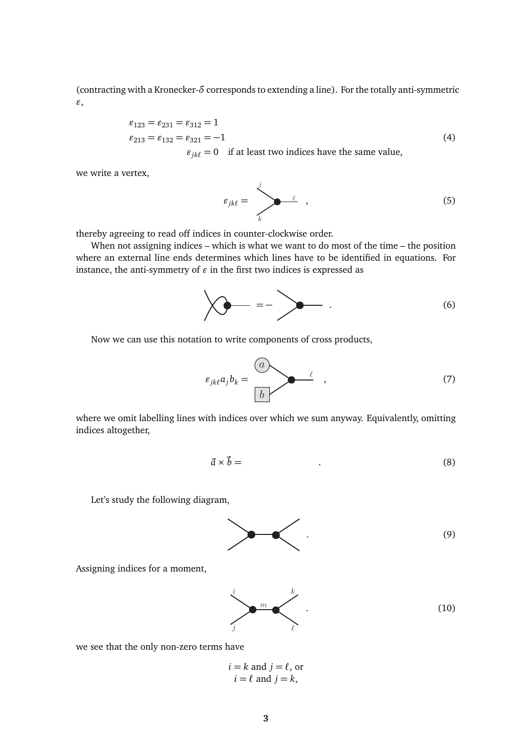(contracting with a Kronecker-*δ* corresponds to extending a line). For the totally anti-symmetric *"*,

$$
\varepsilon_{123} = \varepsilon_{231} = \varepsilon_{312} = 1
$$
  
\n
$$
\varepsilon_{213} = \varepsilon_{132} = \varepsilon_{321} = -1
$$
  
\n
$$
\varepsilon_{13} = 0 \quad \text{if at least two indices have the same value} \tag{4}
$$

 $\varepsilon_{jk\ell} = 0$  if at least two indices have the same value,

we write a vertex,

$$
\varepsilon_{jkl} = \sum_{k}^j \qquad (5)
$$

thereby agreeing to read off indices in counter-clockwise order.

When not assigning indices – which is what we want to do most of the time – the position where an external line ends determines which lines have to be identified in equations. For instance, the anti-symmetry of  $\varepsilon$  in the first two indices is expressed as

$$
\left\langle \bigotimes_{i=1}^{n} \frac{1}{i} \right\rangle = - \sum_{i=1}^{n} \frac{1}{i} \left( \bigotimes_{i=1}^{n} \frac{1}{i} \right)
$$

Now we can use this notation to write components of cross products,

$$
\varepsilon_{jk\ell}a_jb_k = \frac{a}{b} \qquad \qquad \ell \qquad , \tag{7}
$$

where we omit labelling lines with indices over which we sum anyway. Equivalently, omitting indices altogether,

$$
\vec{a} \times \vec{b} = \tag{8}
$$

Let's study the following diagram,



Assigning indices for a moment,

$$
\sum_{j}^{i} m \left( \sum_{\ell}^{k} \right) \tag{10}
$$

we see that the only non-zero terms have

$$
i = k
$$
 and  $j = l$ , or  
\n $i = l$  and  $j = k$ ,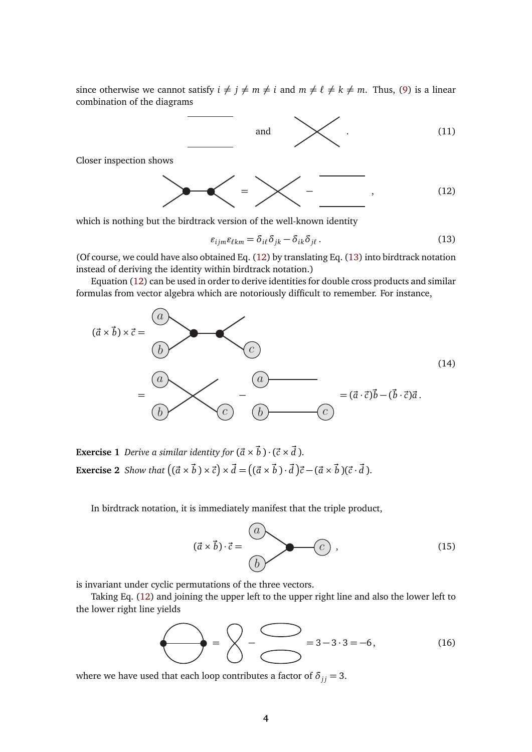since otherwise we cannot satisfy  $i \neq j \neq m \neq i$  and  $m \neq \ell \neq k \neq m$ . Thus, (9) is a linear combination of the diagrams

$$
\begin{array}{c}\n\text{and} \\
\hline\n\end{array}\n\qquad \qquad \text{(11)}
$$

Closer inspection shows

$$
\begin{array}{c}\n\diagup \\
\diagdown \\
\diagdown\n\end{array}
$$

which is nothing but the birdtrack version of the well-known identity

$$
\varepsilon_{ijm}\varepsilon_{\ell km} = \delta_{i\ell}\delta_{jk} - \delta_{ik}\delta_{j\ell}.
$$
 (13)

(Of course, we could have also obtained Eq. (12) by translating Eq. (13) into birdtrack notation instead of deriving the identity within birdtrack notation.)

Equation (12) can be used in order to derive identities for double cross products and similar formulas from vector algebra which are notoriously difficult to remember. For instance,



**Exercise 1** *Derive a similar identity for*  $(\vec{a} \times \vec{b}) \cdot (\vec{c} \times \vec{d})$ *.* **Exercise 2** Show that  $((\vec{a} \times \vec{b}) \times \vec{c}) \times \vec{d} = ((\vec{a} \times \vec{b}) \cdot \vec{d})\vec{c} - (\vec{a} \times \vec{b})(\vec{c} \cdot \vec{d}).$ 

In birdtrack notation, it is immediately manifest that the triple product,

$$
(\vec{a} \times \vec{b}) \cdot \vec{c} = \begin{pmatrix} a \\ b \end{pmatrix} \qquad (15)
$$

is invariant under cyclic permutations of the three vectors.

Taking Eq. (12) and joining the upper left to the upper right line and also the lower left to the lower right line yields

$$
\bigodot = \bigodot - \bigodot = 3 - 3 \cdot 3 = -6, \tag{16}
$$

where we have used that each loop contributes a factor of  $\delta_{jj} = 3$ .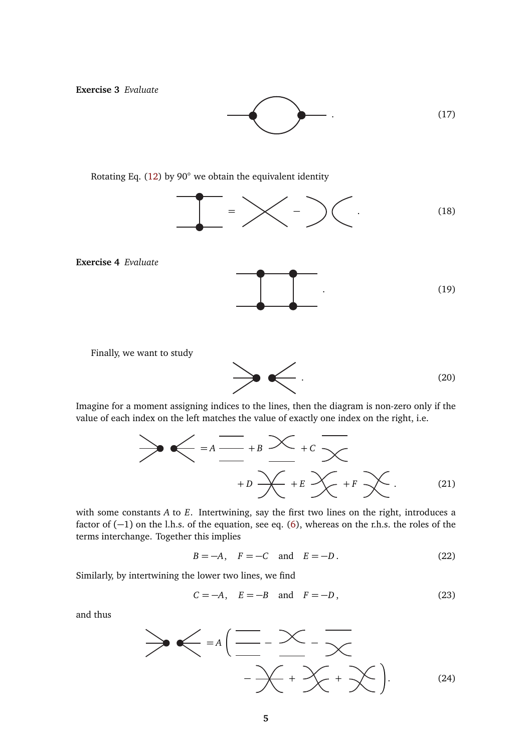**Exercise 3** *Evaluate*

 $(17)$ 

Rotating Eq. (12) by 90◦ we obtain the equivalent identity



**Exercise 4** *Evaluate*



Finally, we want to study



Imagine for a moment assigning indices to the lines, then the diagram is non-zero only if the value of each index on the left matches the value of exactly one index on the right, i.e.

$$
\sum_{i=1}^{\infty} \frac{1}{\frac{1}{1-\epsilon}} + B \sum_{i=1}^{\infty} + C \sum_{i=1}^{\infty} + C \sum_{i=1}^{\infty} + C \sum_{i=1}^{\infty} + F \sum_{i=1}^{\infty}.
$$
 (21)

with some constants *A* to *E*. Intertwining, say the first two lines on the right, introduces a factor of (−1) on the l.h.s. of the equation, see eq. (6), whereas on the r.h.s. the roles of the terms interchange. Together this implies

$$
B = -A, \quad F = -C \quad \text{and} \quad E = -D. \tag{22}
$$

Similarly, by intertwining the lower two lines, we find

$$
C = -A, \quad E = -B \quad \text{and} \quad F = -D,
$$
\n
$$
(23)
$$

and thus

$$
\begin{array}{c}\n\end{array}\n\begin{array}{c}\n\end{array}\n\begin{array}{c}\n\end{array}\n\begin{array}{c}\n\end{array}\n\begin{array}{c}\n\end{array}\n\begin{array}{c}\n\end{array}\n\begin{array}{c}\n\end{array}\n\begin{array}{c}\n\end{array}\n\begin{array}{c}\n\end{array}\n\begin{array}{c}\n\end{array}\n\begin{array}{c}\n\end{array}\n\begin{array}{c}\n\end{array}\n\begin{array}{c}\n\end{array}\n\begin{array}{c}\n\end{array}\n\begin{array}{c}\n\end{array}\n\begin{array}{c}\n\end{array}\n\begin{array}{c}\n\end{array}\n\begin{array}{c}\n\end{array}\n\begin{array}{c}\n\end{array}\n\end{array}
$$